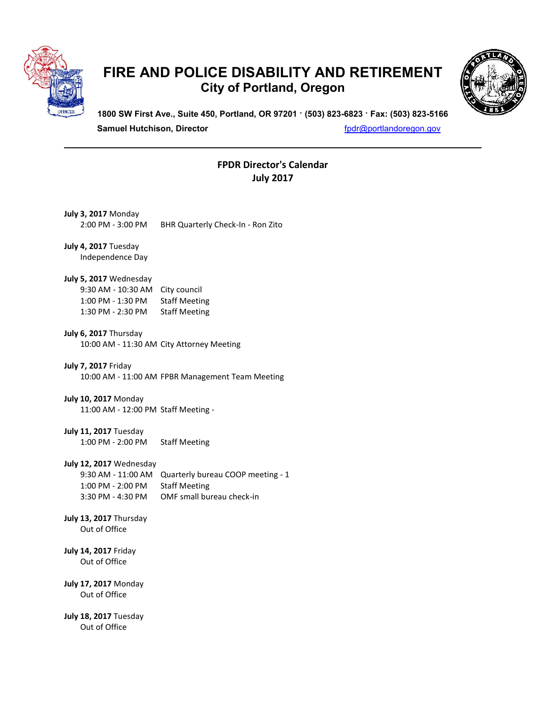

## **FIRE AND POLICE DISABILITY AND RETIREMENT City of Portland, Oregon**



**1800 SW First Ave., Suite 450, Portland, OR 97201 · (503) 823-6823 · Fax: (503) 823-5166 Samuel Hutchison, Director fpdr for a structure of the function of the function of the function of the function of the function of the function of the function of the function of the function of the function of the fu** 

## **FPDR Director's Calendar July 2017**

| <b>July 3, 2017 Monday</b><br>2:00 PM - 3:00 PM                                         | BHR Quarterly Check-In - Ron Zito                                                      |
|-----------------------------------------------------------------------------------------|----------------------------------------------------------------------------------------|
| July 4, 2017 Tuesday<br>Independence Day                                                |                                                                                        |
| July 5, 2017 Wednesday<br>9:30 AM - 10:30 AM<br>1:00 PM - 1:30 PM<br>1:30 PM - 2:30 PM  | City council<br><b>Staff Meeting</b><br><b>Staff Meeting</b>                           |
| July 6, 2017 Thursday                                                                   | 10:00 AM - 11:30 AM City Attorney Meeting                                              |
| <b>July 7, 2017 Friday</b>                                                              | 10:00 AM - 11:00 AM FPBR Management Team Meeting                                       |
| <b>July 10, 2017 Monday</b><br>11:00 AM - 12:00 PM Staff Meeting -                      |                                                                                        |
| July 11, 2017 Tuesday<br>1:00 PM - 2:00 PM                                              | <b>Staff Meeting</b>                                                                   |
| July 12, 2017 Wednesday<br>9:30 AM - 11:00 AM<br>1:00 PM - 2:00 PM<br>3:30 PM - 4:30 PM | Quarterly bureau COOP meeting - 1<br><b>Staff Meeting</b><br>OMF small bureau check-in |
| July 13, 2017 Thursday<br>Out of Office                                                 |                                                                                        |
| <b>July 14, 2017 Friday</b><br>Out of Office                                            |                                                                                        |
| <b>July 17, 2017 Monday</b><br>Out of Office                                            |                                                                                        |
| July 18, 2017 Tuesday<br>Out of Office                                                  |                                                                                        |